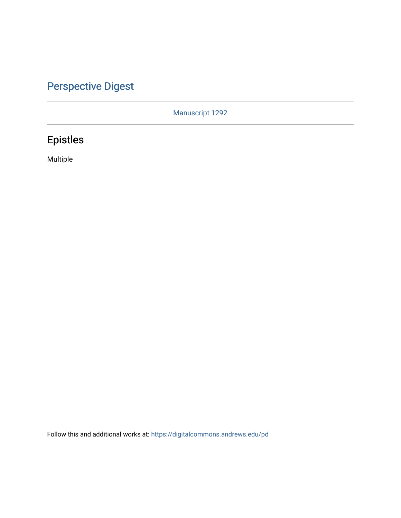# [Perspective Digest](https://digitalcommons.andrews.edu/pd)

Manuscript 1292

# Epistles

Multiple

Follow this and additional works at: [https://digitalcommons.andrews.edu/pd](https://digitalcommons.andrews.edu/pd?utm_source=digitalcommons.andrews.edu%2Fpd%2Fvol3%2Fiss2%2F1&utm_medium=PDF&utm_campaign=PDFCoverPages)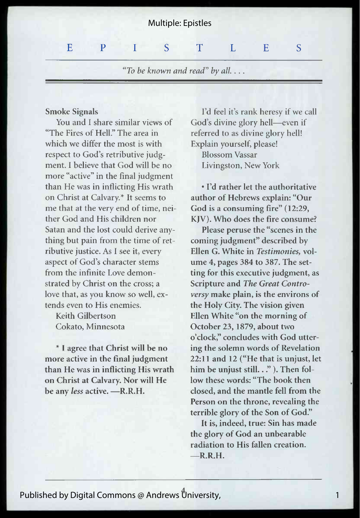## Multiple: Epistles

#### S  $E \qquad P \qquad I \qquad S \qquad T \qquad L \qquad E$

"To be known and read" by all. . . .

## Smoke Signals

You and I share similar views of "The Fires of Hell" The area in which we differ the most is with respect to God's retributive judgment. I believe that God will be no more "active" in the final judgment than He was in inflicting His wrath on Christ at Calvary.\* It seems to me that at the very end of time, neither God and His children nor Satan and the lost could derive anything but pain from the time of retributive justice. As I see it, every aspect of God's character stems from the infinite Love demonstrated by Christ on the cross; a love that, as you know so well, extends even to His enemies.

Keith Gilbertson Cokato, Minnesota

\* I agree that Christ will be no more active in the final judgment than He was in inflicting His wrath on Christ at Calvary. Nor will He be any less active. - R.R.H.

I'd feel it's rank heresy if we call God's divine glory hell—even if referred to as divine glory hell! Explain yourself, please! Blossom Vassar Livingston, New York

· I'd rather let the authoritative author of Hebrews explain: "Our God is a consuming fire" (12:29, KIV). Who does the fire consume?

Please peruse the "scenes in the coming judgment" described by Ellen G. White in Testimonies, volume 4, pages  $384$  to  $387$ . The setting for this executive judgment, as Scripture and The Great Contro*versy* make plain, is the environs of the Holy City. The vision given Ellen White "on the morning of October 23, 1879, about two o'clock," concludes with God uttering the solemn words of Revelation  $22:11$  and  $12$  ("He that is unjust, let him be unjust still..." ). Then follow these words: "The book then closed, and the mantle fell from the Person on the throne, revealing the terrible glory of the Son of God."

It is, indeed, true: Sin has made the glory of God an unbearable radiation to His fallen creation.  $-R.R.H.$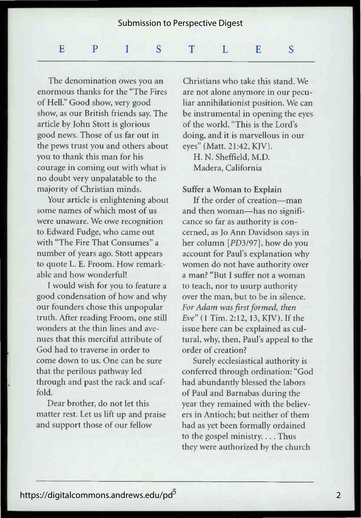## Submission to Perspective Digest

#### S  $\mathbf{E}$   $\mathbf{P}$  IST LE

The denomination owes you an enormous thanks for the "The Fires of Hell." Good show, very good show, as our British friends say. The article by John Stott is glorious good news. Those of us far out in the pews trust you and others about you to thank this man for his courage in coming out with what is no doubt very unpalatable to the majority of Christian minds.

Your article is enlightening about some names of which most of us were unaware. We owe recognition to Edward Fudge, who came out with "The Fire That Consumes" a number of years ago. Stott appears to quote L. E. Froom. How remarkable and how wonderful!

I would wish for you to feature a good condensation of how and why our founders chose this unpopular truth. After reading Froom, one still wonders at the thin lines and avenues that this merciful attribute of God had to traverse in order to come down to us. One can be sure that the perilous pathway led through and past the rack and scaf $fold$ 

Dear brother, do not let this matter rest. Let us lift up and praise and support those of our fellow

Christians who take this stand. We are not alone anymore in our peculiar annihilationist position. We can be instrumental in opening the eyes of the world. "This is the Lord's doing, and it is marvellous in our eyes" (Matt. 21:42, KJV).

H. N. Sheffield, M.D. Madera, California

## Suffer a Woman to Explain

If the order of creation---man and then woman—has no significance so far as authority is concerned, as Jo Ann Davidson says in her column [PD3/97], how do you account for Paul's explanation why women do not have authority over a man? "But I suffer not a woman to teach, nor to usurp authority over the man, but to be in silence. For Adam was first formed, then *Eve*" (1 Tim. 2:12, 13, KIV). If the issue here can be explained as cultural, why, then, Paul's appeal to the order of creation?

Surely ecclesiastical authority is conferred through ordination: "God had abundantly blessed the labors of Paul and Barnabas during the year they remained with the believers in Antioch; but neither of them had as yet been formally ordained to the gospel ministry.... Thus they were authorized by the church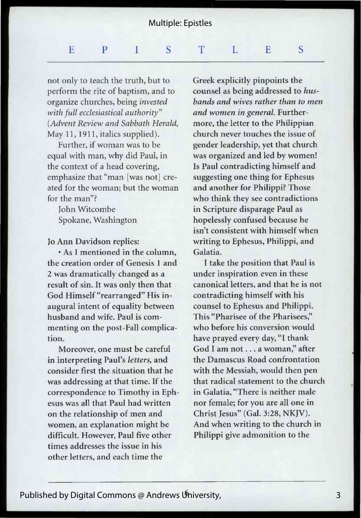## Multiple: Epistles

#### $\overline{S}$  $\mathbf{E}$  and  $\mathbf{P}$  and  $\mathbf{I}$  and  $\mathbf{S}$  and  $\mathbf{T}$  and  $\mathbf{I}$  and  $\mathbf{E}$  and  $\mathbf{I}$  and  $\mathbf{I}$  and  $\mathbf{I}$  and  $\mathbf{E}$  and  $\mathbf{I}$  and  $\mathbf{I}$  and  $\mathbf{I}$  and  $\mathbf{I}$  and  $\mathbf{I}$  and  $\mathbf{I}$  and

not only to teach the truth, but to perform the rite of baptism, and to organize churches, being *invested* with full ecclesiastical authority" *Advent Review and Sabbath Herald,* May 11, 1911, italics supplied).

Further, if woman was to be equal with man, why did Paul, in the context of a head covering. emphasize that "man [was not] created for the woman: but the woman for the man"?

Iohn Witcombe Spokane, Washington

## Io Ann Davidson replies:

 $\cdot$  As I mentioned in the column. the creation order of Genesis 1 and 2 was dramatically changed as a result of sin. It was only then that God Himself "rearranged" His inaugural intent of equality between husband and wife. Paul is commenting on the post-Fall complication.

Moreover, one must be careful in interpreting Paul's letters, and consider first the situation that he was addressing at that time. If the correspondence to Timothy in Ephesus was all that Paul had written on the relationship of men and women, an explanation might be difficult. However, Paul five other times addresses the issue in his other letters, and each time the

Greek explicitly pinpoints the counsel as being addressed to hus*bands and wives rather than to men* and women in general. Furthermore, the letter to the Philippian church never touches the issue of gender leadership, yet that church was organized and led by women! Is Paul contradicting himself and suggesting one thing for Ephesus and another for Philippi? Those who think they see contradictions in Scripture disparage Paul as hopelessly confused because he isn't consistent with himself when writing to Ephesus, Philippi, and Galatia.

I take the position that Paul is under inspiration even in these canonical letters, and that he is not contradicting himself with his counsel to Ephesus and Philippi. This "Pharisee of the Pharisees." who before his conversion would have prayed every day, "I thank God I am not . . . a woman," after the Damascus Road confrontation with the Messiah, would then pen that radical statement to the church in Galatia, "There is neither male nor female; for you are all one in Christ Iesus" (Gal. 3:28, NKJV). And when writing to the church in Philippi give admonition to the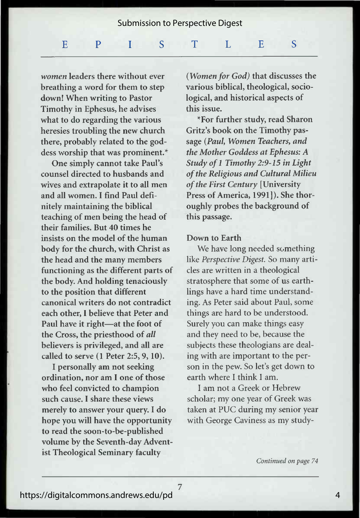## Submission to Perspective Digest

#### $\textbf{E}$  and  $\textbf{P}$  and  $\textbf{I}$  and  $\textbf{S}$  and  $\textbf{T}$  and  $\textbf{I}$  and  $\textbf{E}$  and  $\textbf{E}$  and  $\textbf{E}$  and  $\textbf{E}$  and  $\textbf{E}$  and  $\textbf{E}$  and  $\textbf{E}$  and  $\textbf{E}$  and  $\textbf{E}$  and  $\textbf{E}$  and  $\textbf{E}$  and S

*women* leaders there without ever breathing a word for them to step down! When writing to Pastor Timothy in Ephesus, he advises what to do regarding the various heresies troubling the new church there, probably related to the goddess worship that was prominent.\*

One simply cannot take Paul's counsel directed to husbands and wives and extrapolate it to all men and all women. I find Paul definitely maintaining the biblical teaching of men being the head of their families. But 40 times he insists on the model of the human body for the church, with Christ as the head and the many members functioning as the different parts of the body. And holding tenaciously to the position that different canonical writers do not contradict each other, I believe that Peter and Paul have it right—at the foot of the Cross, the priesthood of all believers is privileged, and all are called to serve (1 Peter 2:5, 9, 10).

I personally am not seeking ordination, nor am I one of those who feel convicted to champion such cause. I share these views merely to answer your query. I do hope you will have the opportunity to read the soon-to-be-published volume by the Seventh-day Adventist Theological Seminary faculty

*(Women for God)* that discusses the various biblical, theological, sociological, and historical aspects of this issue.

\*For further study, read Sharon Gritz's book on the Timothy passage (Paul, Women Teachers, and the Mother Goddess at Ephesus: A Study of 1 Timothy 2:9-15 in Light  $of$  the Religious and Cultural Milieu of the First Century [University Press of America, 1991]). She thoroughly probes the background of this passage.

### Down to Earth

We have long needed something like Perspective Digest. So many articles are written in a theological stratosphere that some of us earthlings have a hard time understanding. As Peter said about Paul, some things are hard to be understood. Surely you can make things easy and they need to be, because the subjects these theologians are dealing with are important to the person in the pew. So let's get down to earth where I think I am.

I am not a Greek or Hebrew scholar; my one year of Greek was taken at PUC during my senior year with George Caviness as my study-

Continued on page 74

7

4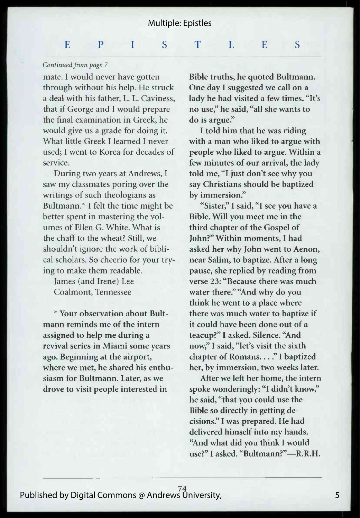#### $\mathbf{F}$   $\mathbf{P}$   $\mathbf{I}$   $\mathbf{I}$   $\mathbf{S}$   $\mathbf{T}$   $\mathbf{I}$   $\mathbf{I}$   $\mathbf{I}$   $\mathbf{E}$ S

## Continued from page 7

mate. I would never have gotten through without his help. He struck a deal with his father, L. L. Caviness, that if George and I would prepare the final examination in Greek, he would give us a grade for doing it. What little Greek I learned I never used: I went to Korea for decades of service.

During two years at Andrews, I saw my classmates poring over the writings of such theologians as Bultmann.\* I felt the time might be better spent in mastering the volumes of Ellen G. White. What is the chaff to the wheat? Still, we shouldn't ignore the work of biblical scholars. So cheerio for your trying to make them readable.

James (and Irene) Lee Coalmont, Tennessee

\* Your observation about Bultmann reminds me of the intern assigned to help me during a revival series in Miami some years ago. Beginning at the airport, where we met, he shared his enthusiasm for Bultmann. Later, as we drove to visit people interested in

Bible truths, he quoted Bultmann. One day I suggested we call on a lady he had visited a few times. "It's no use," he said, "all she wants to do is argue."

I told him that he was riding with a man who liked to argue with people who liked to argue. Within a few minutes of our arrival, the lady told me, "I just don't see why you say Christians should be baptized by immersion."

"Sister," I said, "I see you have a Bible. Will you meet me in the third chapter of the Gospel of John?" Within moments, I had asked her why John went to Aenon, near Salim, to baptize. After a long pause, she replied by reading from verse 23: "Because there was much water there." "And why do you think he went to a place where there was much water to baptize if it could have been done out of a teacup?" I asked. Silence. "And now," I said, "let's visit the sixth chapter of Romans...." I baptized her, by immersion, two weeks later.

After we left her home, the intern spoke wonderingly: "I didn't know," he said, "that you could use the Bible so directly in getting decisions." I was prepared. He had delivered himself into my hands. "And what did you think I would use?" I asked. "Bultmann?"-R.R.H.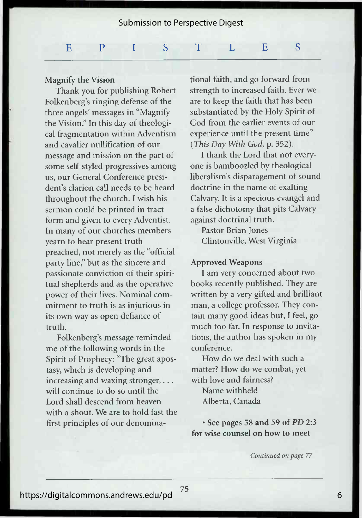Submission to Perspective Digest

#### $\texttt{E}$  -  $\texttt{P}$  -  $\texttt{I}$  -  $\texttt{S}$  -  $\texttt{T}$  -  $\texttt{L}$  -  $\texttt{E}$  -S

## Magnify the Vision

Thank you for publishing Robert Folkenberg's ringing defense of the three angels' messages in "Magnify the Vision." In this day of theological fragmentation within Adventism and cavalier nullification of our message and mission on the part of some self-styled progressives among us, our General Conference president's clarion call needs to be heard throughout the church. I wish his sermon could be printed in tract form and given to every Adventist. In many of our churches members vearn to hear present truth preached, not merely as the "official party line," but as the sincere and passionate conviction of their spiritual shepherds and as the operative power of their lives. Nominal commitment to truth is as injurious in its own way as open defiance of truth.

Folkenberg's message reminded me of the following words in the Spirit of Prophecy: "The great apostasy, which is developing and increasing and waxing stronger,  $\dots$ will continue to do so until the Lord shall descend from heaven with a shout. We are to hold fast the first principles of our denominational faith, and go forward from strength to increased faith. Ever we are to keep the faith that has been substantiated by the Holy Spirit of God from the earlier events of our experience until the present time" *(This Day With God, p. 352).* 

I thank the Lord that not everyone is bamboozled by theological liberalism's disparagement of sound doctrine in the name of exalting Calvary. It is a specious evangel and a false dichotomy that pits Calvary against doctrinal truth.

Pastor Brian Jones Clintonville, West Virginia

### **Approved Weapons**

I am very concerned about two books recently published. They are written by a very gifted and brilliant man, a college professor. They contain many good ideas but, I feel, go much too far. In response to invitations, the author has spoken in my conference.

How do we deal with such a matter? How do we combat, yet with love and fairness?

Name withheld Alberta, Canada

• See pages 58 and 59 of *PD* 2:3 for wise counsel on how to meet

Continued on page 77

6